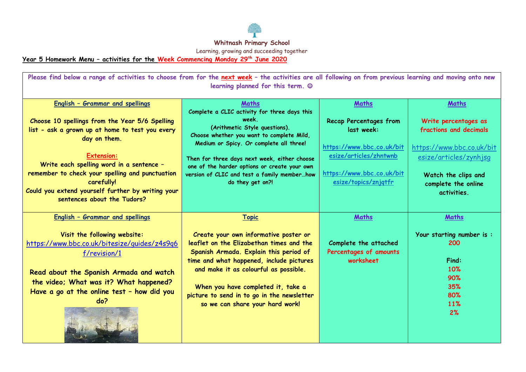

**Year 5 Homework Menu – activities for the Week Commencing Monday 29th June 2020** 

| Please find below a range of activities to choose from for the next week - the activities are all following on from previous learning and moving onto new                                                                                                                                                                                                                         | learning planned for this term. ©                                                                                                                                                                                                                                                                                                                          |                                                                                                                                                                         |                                                                                                                                                                             |  |  |
|-----------------------------------------------------------------------------------------------------------------------------------------------------------------------------------------------------------------------------------------------------------------------------------------------------------------------------------------------------------------------------------|------------------------------------------------------------------------------------------------------------------------------------------------------------------------------------------------------------------------------------------------------------------------------------------------------------------------------------------------------------|-------------------------------------------------------------------------------------------------------------------------------------------------------------------------|-----------------------------------------------------------------------------------------------------------------------------------------------------------------------------|--|--|
| <u>English - Grammar and spellings</u><br>Choose 10 spellings from the Year 5/6 Spelling<br>list - ask a grown up at home to test you every<br>day on them.<br><b>Extension:</b><br>Write each spelling word in a sentence -<br>remember to check your spelling and punctuation<br>carefully!<br>Could you extend yourself further by writing your<br>sentences about the Tudors? | Maths<br>Complete a CLIC activity for three days this<br>week.<br>(Arithmetic Style questions).<br>Choose whether you want to complete Mild,<br>Medium or Spicy. Or complete all three!<br>Then for three days next week, either choose<br>one of the harder options or create your own<br>version of CLIC and test a family memberhow<br>do they get on?! | <b>Maths</b><br><b>Recap Percentages from</b><br>last week:<br>https://www.bbc.co.uk/bit<br>esize/articles/zhntwnb<br>https://www.bbc.co.uk/bit<br>esize/topics/znjqtfr | Maths<br>Write percentages as<br>fractions and decimals<br>https://www.bbc.co.uk/bit<br>esize/articles/zynhjsg<br>Watch the clips and<br>complete the online<br>activities. |  |  |
| English - Grammar and spellings<br>Visit the following website:<br>https://www.bbc.co.uk/bitesize/quides/z4s9q6<br>f/revision/1<br>Read about the Spanish Armada and watch<br>the video; What was it? What happened?<br>Have a go at the online test - how did you<br>do?                                                                                                         | <b>Topic</b><br>Create your own informative poster or<br>leaflet on the Elizabethan times and the<br>Spanish Armada. Explain this period of<br>time and what happened, include pictures<br>and make it as colourful as possible.<br>When you have completed it, take a<br>picture to send in to go in the newsletter<br>so we can share your hard work!    | Maths<br>Complete the attached<br>Percentages of amounts<br>worksheet                                                                                                   | Maths<br>Your starting number is:<br>200<br>Find:<br>10%<br>90%<br>35%<br>80%<br>11%<br>2%                                                                                  |  |  |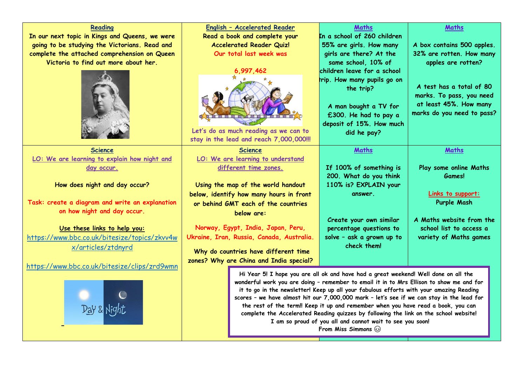| Reading                                         | English - Accelerated Reader                                                                                                                                                                                                                                                                                                                                                                                                                                                                                                                                                                                                                | Maths                                                                                                                                 | Maths                                                                                                        |  |  |  |  |
|-------------------------------------------------|---------------------------------------------------------------------------------------------------------------------------------------------------------------------------------------------------------------------------------------------------------------------------------------------------------------------------------------------------------------------------------------------------------------------------------------------------------------------------------------------------------------------------------------------------------------------------------------------------------------------------------------------|---------------------------------------------------------------------------------------------------------------------------------------|--------------------------------------------------------------------------------------------------------------|--|--|--|--|
| In our next topic in Kings and Queens, we were  | Read a book and complete your                                                                                                                                                                                                                                                                                                                                                                                                                                                                                                                                                                                                               | In a school of 260 children                                                                                                           |                                                                                                              |  |  |  |  |
| going to be studying the Victorians. Read and   | <b>Accelerated Reader Quiz!</b>                                                                                                                                                                                                                                                                                                                                                                                                                                                                                                                                                                                                             | 55% are girls. How many                                                                                                               | A box contains 500 apples.                                                                                   |  |  |  |  |
| complete the attached comprehension on Queen    | Our total last week was                                                                                                                                                                                                                                                                                                                                                                                                                                                                                                                                                                                                                     | girls are there? At the                                                                                                               | 32% are rotten. How many                                                                                     |  |  |  |  |
| Victoria to find out more about her.            |                                                                                                                                                                                                                                                                                                                                                                                                                                                                                                                                                                                                                                             | same school, 10% of                                                                                                                   | apples are rotten?                                                                                           |  |  |  |  |
|                                                 |                                                                                                                                                                                                                                                                                                                                                                                                                                                                                                                                                                                                                                             | children leave for a school                                                                                                           |                                                                                                              |  |  |  |  |
|                                                 | Let's do as much reading as we can to<br>stay in the lead and reach 7,000,000!!!                                                                                                                                                                                                                                                                                                                                                                                                                                                                                                                                                            | trip. How many pupils go on<br>the trip?<br>A man bought a TV for<br>£300. He had to pay a<br>deposit of 15%. How much<br>did he pay? | A test has a total of 80<br>marks. To pass, you need<br>at least 45%. How many<br>marks do you need to pass? |  |  |  |  |
| <b>Science</b>                                  | <b>Science</b>                                                                                                                                                                                                                                                                                                                                                                                                                                                                                                                                                                                                                              | Maths                                                                                                                                 | Maths                                                                                                        |  |  |  |  |
| LO: We are learning to explain how night and    | LO: We are learning to understand                                                                                                                                                                                                                                                                                                                                                                                                                                                                                                                                                                                                           |                                                                                                                                       |                                                                                                              |  |  |  |  |
| day occur.                                      | different time zones.                                                                                                                                                                                                                                                                                                                                                                                                                                                                                                                                                                                                                       | If 100% of something is                                                                                                               | Play some online Maths                                                                                       |  |  |  |  |
|                                                 |                                                                                                                                                                                                                                                                                                                                                                                                                                                                                                                                                                                                                                             | 200. What do you think                                                                                                                | Games!                                                                                                       |  |  |  |  |
| How does night and day occur?                   | Using the map of the world handout                                                                                                                                                                                                                                                                                                                                                                                                                                                                                                                                                                                                          | 110% is? EXPLAIN your                                                                                                                 |                                                                                                              |  |  |  |  |
|                                                 | below, identify how many hours in front                                                                                                                                                                                                                                                                                                                                                                                                                                                                                                                                                                                                     | answer.                                                                                                                               | Links to support:                                                                                            |  |  |  |  |
| Task: create a diagram and write an explanation | or behind GMT each of the countries                                                                                                                                                                                                                                                                                                                                                                                                                                                                                                                                                                                                         |                                                                                                                                       | Purple Mash                                                                                                  |  |  |  |  |
| on how night and day occur.                     | below are:                                                                                                                                                                                                                                                                                                                                                                                                                                                                                                                                                                                                                                  |                                                                                                                                       |                                                                                                              |  |  |  |  |
|                                                 |                                                                                                                                                                                                                                                                                                                                                                                                                                                                                                                                                                                                                                             | Create your own similar                                                                                                               | A Maths website from the                                                                                     |  |  |  |  |
| Use these links to help you:                    | Norway, Egypt, India, Japan, Peru,                                                                                                                                                                                                                                                                                                                                                                                                                                                                                                                                                                                                          | percentage questions to                                                                                                               | school list to access a                                                                                      |  |  |  |  |
| https://www.bbc.co.uk/bitesize/topics/zkvv4w    | Ukraine, Iran, Russia, Canada, Australia.                                                                                                                                                                                                                                                                                                                                                                                                                                                                                                                                                                                                   | solve - ask a grown up to                                                                                                             | variety of Maths games                                                                                       |  |  |  |  |
| x/articles/ztdnyrd                              |                                                                                                                                                                                                                                                                                                                                                                                                                                                                                                                                                                                                                                             | check them!                                                                                                                           |                                                                                                              |  |  |  |  |
|                                                 | Why do countries have different time                                                                                                                                                                                                                                                                                                                                                                                                                                                                                                                                                                                                        |                                                                                                                                       |                                                                                                              |  |  |  |  |
| https://www.bbc.co.uk/bitesize/clips/zrd9wmn    | zones? Why are China and India special?                                                                                                                                                                                                                                                                                                                                                                                                                                                                                                                                                                                                     |                                                                                                                                       |                                                                                                              |  |  |  |  |
| Day & Night                                     | Hi Year 5! I hope you are all ok and have had a great weekend! Well done on all the<br>wonderful work you are doing - remember to email it in to Mrs Ellison to show me and for<br>it to go in the newsletter! Keep up all your fabulous efforts with your amazing Reading<br>scores - we have almost hit our 7,000,000 mark - let's see if we can stay in the lead for<br>the rest of the term!! Keep it up and remember when you have read a book, you can<br>complete the Accelerated Reading quizzes by following the link on the school website!<br>I am so proud of you all and cannot wait to see you soon!<br>From Miss Simmons (3) |                                                                                                                                       |                                                                                                              |  |  |  |  |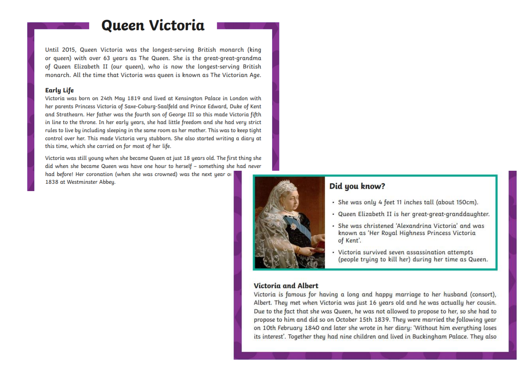# **Queen Victoria**

Until 2015, Queen Victoria was the longest-serving British monarch (king or queen) with over 63 years as The Queen. She is the great-great-grandma of Queen Elizabeth II (our queen), who is now the longest-serving British monarch. All the time that Victoria was queen is known as The Victorian Age.

#### **Early Life**

Victoria was born on 24th May 1819 and lived at Kensington Palace in London with her parents Princess Victoria of Saxe-Coburg-Saalfeld and Prince Edward, Duke of Kent and Strathearn. Her father was the fourth son of George III so this made Victoria fifth in line to the throne. In her early years, she had little freedom and she had very strict rules to live by including sleeping in the same room as her mother. This was to keep tight control over her. This made Victoria very stubborn. She also started writing a diary at this time, which she carried on for most of her life.

Victoria was still young when she became Queen at just 18 years old. The first thing she did when she became Queen was have one hour to herself - something she had never had before! Her coronation (when she was crowned) was the next year of 1838 at Westminster Abbey.



### Did you know?

- · She was only 4 feet 11 inches tall (about 150cm).
- · Queen Elizabeth II is her great-great-granddaughter.
- · She was christened 'Alexandrina Victoria' and was known as 'Her Royal Highness Princess Victoria of Kent'.
- Victoria survived seven assassination attempts (people truing to kill her) during her time as Queen.

#### **Victoria and Albert**

Victoria is famous for having a long and happy marriage to her husband (consort), Albert. They met when Victoria was just 16 years old and he was actually her cousin. Due to the fact that she was Queen, he was not allowed to propose to her, so she had to propose to him and did so on October 15th 1839. They were married the following year on 10th February 1840 and later she wrote in her diary: 'Without him everything loses its interest'. Together they had nine children and lived in Buckingham Palace. They also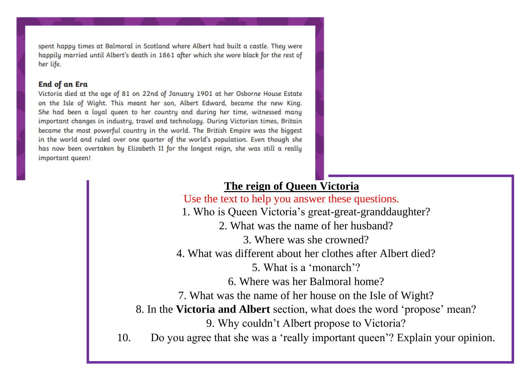spent happy times at Balmoral in Scotland where Albert had built a castle. They were happily married until Albert's death in 1861 after which she wore black for the rest of her life.

### **End of an Era**

Victoria died at the age of 81 on 22nd of January 1901 at her Osborne House Estate on the Isle of Wight. This meant her son, Albert Edward, became the new King. She had been a loyal queen to her country and during her time, witnessed many important changes in industry, travel and technology. During Victorian times, Britain became the most powerful country in the world. The British Empire was the biggest in the world and ruled over one quarter of the world's population. Even though she has now been overtaken by Elizabeth II for the longest reign, she was still a really important queen!

## **The reign of Queen Victoria**

Use the text to help you answer these questions. 1. Who is Queen Victoria's great-great-granddaughter?

2. What was the name of her husband?

3. Where was she crowned?

4. What was different about her clothes after Albert died?

5. What is a 'monarch'?

6. Where was her Balmoral home?

7. What was the name of her house on the Isle of Wight?

8. In the **Victoria and Albert** section, what does the word 'propose' mean?

9. Why couldn't Albert propose to Victoria?

10. Do you agree that she was a 'really important queen'? Explain your opinion.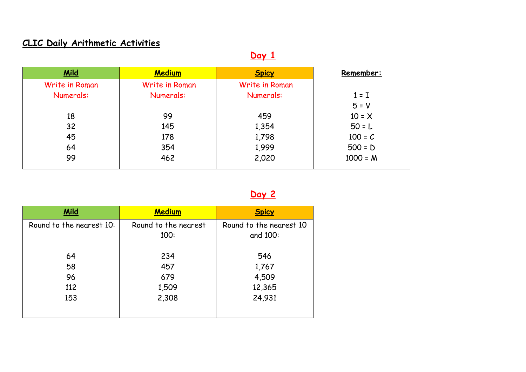## **CLIC Daily Arithmetic Activities**

**Day 1**

| <b>Mild</b>    | <b>Medium</b>  | <b>Spicy</b>   | Remember:  |  |  |  |
|----------------|----------------|----------------|------------|--|--|--|
| Write in Roman | Write in Roman | Write in Roman |            |  |  |  |
| Numerals:      | Numerals:      | Numerals:      | $1 = I$    |  |  |  |
|                |                |                | $5 = V$    |  |  |  |
| 18             | 99             | 459            | $10 = X$   |  |  |  |
| 32             | 145            | 1,354          | $50 = L$   |  |  |  |
| 45             | 178            | 1,798          | $100 = C$  |  |  |  |
| 64             | 354            | 1,999          | $500 = D$  |  |  |  |
| 99             | 462            | 2,020          | $1000 = M$ |  |  |  |

## **Day 2**

| <b>Mild</b>              | <b>Medium</b>                | <b>Spicy</b>                        |  |  |  |  |
|--------------------------|------------------------------|-------------------------------------|--|--|--|--|
| Round to the nearest 10: | Round to the nearest<br>100: | Round to the nearest 10<br>and 100: |  |  |  |  |
| 64                       | 234                          | 546                                 |  |  |  |  |
| 58                       | 457                          | 1,767                               |  |  |  |  |
| 96                       | 679                          | 4,509                               |  |  |  |  |
| 112                      | 1,509                        | 12,365                              |  |  |  |  |
| 153                      | 2,308                        | 24,931                              |  |  |  |  |
|                          |                              |                                     |  |  |  |  |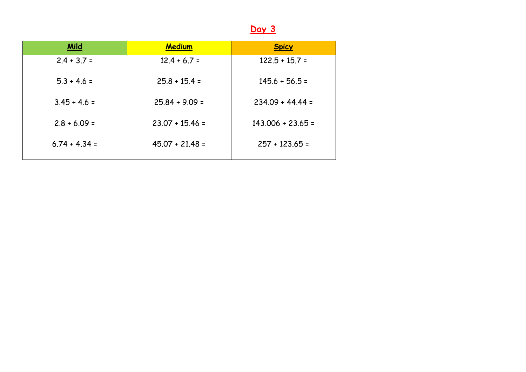## Day 3

| <b>Mild</b>     | <b>Medium</b>     | <b>Spicy</b>        |
|-----------------|-------------------|---------------------|
| $2.4 + 3.7 =$   | $12.4 + 6.7 =$    | $122.5 + 15.7 =$    |
| $5.3 + 4.6 =$   | $25.8 + 15.4 =$   | $145.6 + 56.5 =$    |
| $3.45 + 4.6 =$  | $25.84 + 9.09 =$  | $234.09 + 44.44 =$  |
| $2.8 + 6.09 =$  | $23.07 + 15.46 =$ | $143.006 + 23.65 =$ |
| $6.74 + 4.34 =$ | $45.07 + 21.48 =$ | $257 + 123.65 =$    |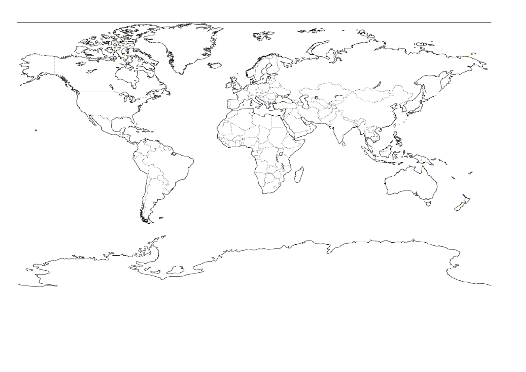